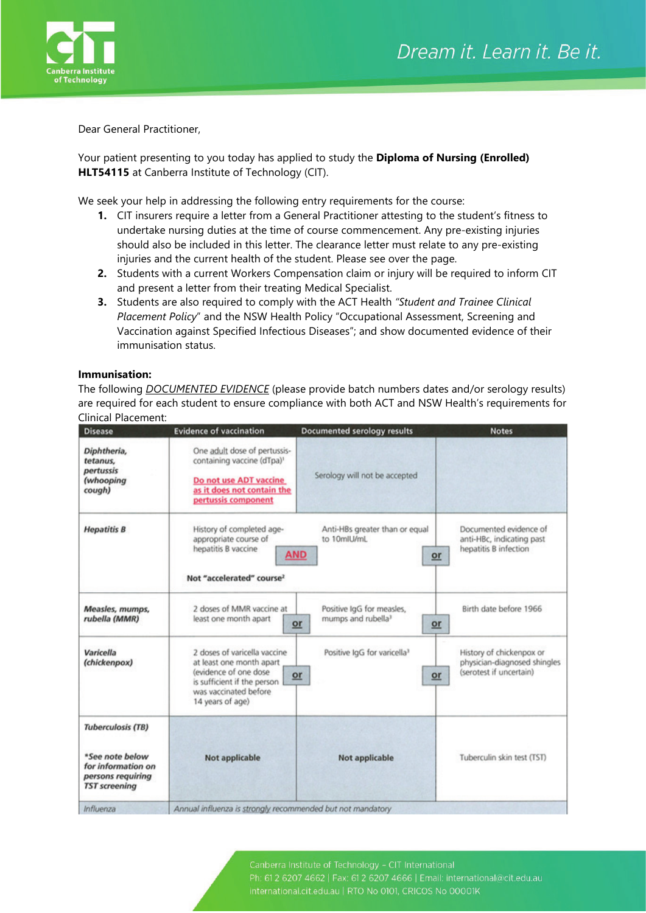

Dear General Practitioner,

Your patient presenting to you today has applied to study the **Diploma of Nursing (Enrolled) HLT54115** at Canberra Institute of Technology (CIT).

We seek your help in addressing the following entry requirements for the course:

- **1.** CIT insurers require a letter from a General Practitioner attesting to the student's fitness to undertake nursing duties at the time of course commencement. Any pre-existing injuries should also be included in this letter. The clearance letter must relate to any pre-existing injuries and the current health of the student. Please see over the page.
- **2.** Students with a current Workers Compensation claim or injury will be required to inform CIT and present a letter from their treating Medical Specialist.
- **3.** Students are also required to comply with the ACT Health *"Student and Trainee Clinical Placement Policy*" and the NSW Health Policy "Occupational Assessment, Screening and Vaccination against Specified Infectious Diseases"; and show documented evidence of their immunisation status.

## **Immunisation:**

The following *DOCUMENTED EVIDENCE* (please provide batch numbers dates and/or serology results) are required for each student to ensure compliance with both ACT and NSW Health's requirements for Clinical Placement:

| <b>Disease</b>                                                                                                 | <b>Evidence of vaccination</b>                                                                                                                                 | <b>Documented serology results</b>                                      | <b>Notes</b>                                                                        |
|----------------------------------------------------------------------------------------------------------------|----------------------------------------------------------------------------------------------------------------------------------------------------------------|-------------------------------------------------------------------------|-------------------------------------------------------------------------------------|
| Diphtheria,<br>tetanus,<br>pertussis<br>(whooping<br>cough)                                                    | One adult dose of pertussis-<br>containing vaccine (dTpa)1<br>Do not use ADT vaccine<br>as it does not contain the<br>pertussis component                      | Serology will not be accepted                                           |                                                                                     |
| <b>Hepatitis B</b>                                                                                             | History of completed age-<br>appropriate course of<br>hepatitis B vaccine<br>Not "accelerated" course?                                                         | Anti-HBs greater than or equal<br>to 10mlU/mL<br><b>AND</b><br>$or$     | Documented evidence of<br>anti-HBc, indicating past<br>hepatitis B infection        |
| Measles, mumps,<br>rubella (MMR)                                                                               | 2 doses of MMR vaccine at<br>least one month apart                                                                                                             | Positive IgG for measles,<br>mumps and rubella <sup>3</sup><br>or<br>or | Birth date before 1966                                                              |
| Varicella<br>(chickenpox)                                                                                      | 2 doses of varicella vaccine<br>at least one month apart<br>(evidence of one dose)<br>is sufficient if the person<br>was vaccinated before<br>14 years of age) | Positive IqG for varicella <sup>3</sup><br>or<br>or                     | History of chickenpox or<br>physician-diagnosed shingles<br>(serotest if uncertain) |
| <b>Tuberculosis (TB)</b><br>*See note below<br>for information on<br>persons requiring<br><b>TST screening</b> | Not applicable                                                                                                                                                 | Not applicable                                                          | Tuberculin skin test (TST)                                                          |
| Influenza                                                                                                      | Annual influenza is strongly recommended but not mandatory                                                                                                     |                                                                         |                                                                                     |

international.cit.edu.au | RTO No 0101, CRICOS No 00001K